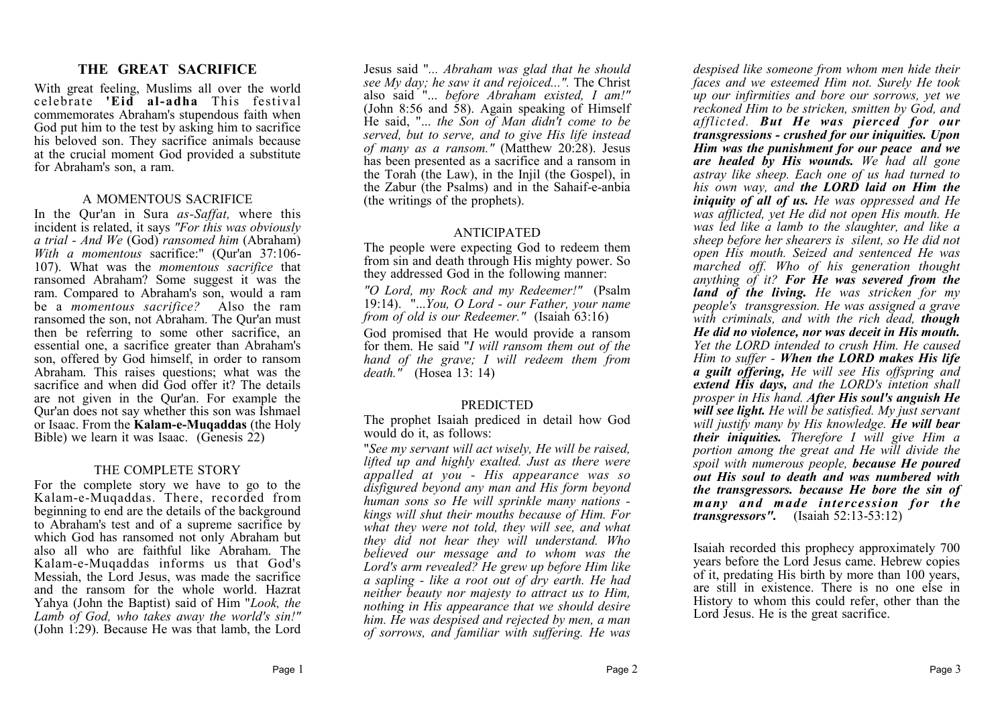#### **THE GREAT SACRIFICE**

With great feeling, Muslims all over the world celebrate **'Eid al-adha** This festival commemorates Abraham's stupendous faith when God put him to the test by asking him to sacrifice his beloved son. They sacrifice animals because at the crucial moment God provided a substitute for Abraham's son, a ram.

#### A MOMENTOUS SACRIFICE

In the Qur'an in Sura *as-Saffat,* where this incident is related, it says *"For this was obviously a trial - And We* (God) *ransomed him* (Abraham) *With a momentous* sacrifice:" (Qur'an 37:106- 107). What was the *momentous sacrifice* that ransomed Abraham? Some suggest it was the ram. Compared to Abraham's son, would a ram be a *momentous sacrifice?* Also the ram ransomed the son, not Abraham. The Qur'an must then be referring to some other sacrifice, an essential one, a sacrifice greater than Abraham's son, offered by God himself, in order to ransom Abraham. This raises questions; what was the sacrifice and when did God offer it? The details are not given in the Qur'an. For example the Qur'an does not say whether this son was Ishmael or Isaac. From the **Kalam-e-Muqaddas** (the Holy Bible) we learn it was Isaac. (Genesis 22)

#### THE COMPLETE STORY

For the complete story we have to go to the Kalam-e-Muqaddas. There, recorded from beginning to end are the details of the background to Abraham's test and of a supreme sacrifice by which God has ransomed not only Abraham but also all who are faithful like Abraham. The Kalam-e-Muqaddas informs us that God's Messiah, the Lord Jesus, was made the sacrifice and the ransom for the whole world. Hazrat Yahya (John the Baptist) said of Him "*Look, the Lamb of God, who takes away the world's sin!"* (John 1:29). Because He was that lamb, the Lord

Jesus said "*... Abraham was glad that he should see My day; he saw it and rejoiced...".* The Christ also said "... *before Abraham existed, I am!"* (John 8:56 and  $\overline{58}$ ). Again speaking of Himself He said, "... *the Son of Man didn't come to be served, but to serve, and to give His life instead of many as a ransom."* (Matthew 20:28). Jesus has been presented as a sacrifice and a ransom in the Torah (the Law), in the Injil (the Gospel), in the Zabur (the Psalms) and in the Sahaif-e-anbia (the writings of the prophets).

#### ANTICIPATED

The people were expecting God to redeem them from sin and death through His mighty power. So they addressed God in the following manner:

*"O Lord, my Rock and my Redeemer!"* (Psalm 19:14). "...*You, O Lord - our Father, your name from of old is our Redeemer."* (Isaiah 63:16)

God promised that He would provide a ransom for them. He said "*I will ransom them out of the hand of the grave; I will redeem them from death."* (Hosea 13: 14)

#### **PREDICTED**

The prophet Isaiah prediced in detail how God would do it, as follows:

"*See my servant will act wisely, He will be raised, lifted up and highly exalted. Just as there were appalled at you - His appearance was so disfigured beyond any man and His form beyond human sons so He will sprinkle many nations kings will shut their mouths because of Him. For what they were not told, they will see, and what they did not hear they will understand. Who believed our message and to whom was the Lord's arm revealed? He grew up before Him like a sapling - like a root out of dry earth. He had neither beauty nor majesty to attract us to Him, nothing in His appearance that we should desire him. He was despised and rejected by men, a man of sorrows, and familiar with suffering. He was*

*despised like someone from whom men hide their faces and we esteemed Him not. Surely He took up our infirmities and bore our sorrows, yet we reckoned Him to be stricken, smitten by God, and afflicted. But He was pierced for our transgressions - crushed for our iniquities. Upon Him was the punishment for our peace and we are healed by His wounds. We had all gone astray like sheep. Each one of us had turned to his own way, and the LORD laid on Him the iniquity of all of us. He was oppressed and He was afflicted, yet He did not open His mouth. He was led like a lamb to the slaughter, and like a sheep before her shearers is silent, so He did not open His mouth. Seized and sentenced He was marched off. Who of his generation thought anything of it? For He was severed from the land of the living. He was stricken for my people's transgression. He was assigned a grave with criminals, and with the rich dead, though He did no violence, nor was deceit in His mouth. Yet the LORD intended to crush Him. He caused Him to suffer - When the LORD makes His life a guilt offering, He will see His offspring and extend His days, and the LORD's intetion shall prosper in His hand. After His soul's anguish He will see light. He will be satisfied. My just servant will justify many by His knowledge. He will bear their iniquities. Therefore I will give Him a portion among the great and He will divide the spoil with numerous people, because He poured out His soul to death and was numbered with the transgressors. because He bore the sin of many and made intercession for the transgressors".* (Isaiah 52:13-53:12)

Isaiah recorded this prophecy approximately 700 years before the Lord Jesus came. Hebrew copies of it, predating His birth by more than 100 years, are still in existence. There is no one else in History to whom this could refer, other than the Lord Jesus. He is the great sacrifice.